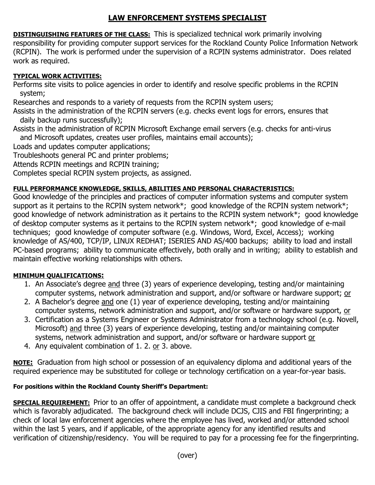# **LAW ENFORCEMENT SYSTEMS SPECIALIST**

**DISTINGUISHING FEATURES OF THE CLASS:** This is specialized technical work primarily involving responsibility for providing computer support services for the Rockland County Police Information Network (RCPIN). The work is performed under the supervision of a RCPIN systems administrator. Does related work as required.

### **TYPICAL WORK ACTIVITIES:**

Performs site visits to police agencies in order to identify and resolve specific problems in the RCPIN system;

Researches and responds to a variety of requests from the RCPIN system users;

Assists in the administration of the RCPIN servers (e.g. checks event logs for errors, ensures that daily backup runs successfully);

Assists in the administration of RCPIN Microsoft Exchange email servers (e.g. checks for anti-virus and Microsoft updates, creates user profiles, maintains email accounts);

Loads and updates computer applications;

Troubleshoots general PC and printer problems;

Attends RCPIN meetings and RCPIN training;

Completes special RCPIN system projects, as assigned.

## **FULL PERFORMANCE KNOWLEDGE, SKILLS, ABILITIES AND PERSONAL CHARACTERISTICS:**

Good knowledge of the principles and practices of computer information systems and computer system support as it pertains to the RCPIN system network\*; good knowledge of the RCPIN system network\*; good knowledge of network administration as it pertains to the RCPIN system network\*; good knowledge of desktop computer systems as it pertains to the RCPIN system network\*; good knowledge of e-mail techniques; good knowledge of computer software (e.g. Windows, Word, Excel, Access); working knowledge of AS/400, TCP/IP, LINUX REDHAT; ISERIES AND AS/400 backups; ability to load and install PC-based programs; ability to communicate effectively, both orally and in writing; ability to establish and maintain effective working relationships with others.

### **MINIMUM QUALIFICATIONS:**

- 1. An Associate's degree and three (3) years of experience developing, testing and/or maintaining computer systems, network administration and support, and/or software or hardware support; or
- 2. A Bachelor's degree and one (1) year of experience developing, testing and/or maintaining computer systems, network administration and support, and/or software or hardware support, or
- 3. Certification as a Systems Engineer or Systems Administrator from a technology school (e.g. Novell, Microsoft) and three (3) years of experience developing, testing and/or maintaining computer systems, network administration and support, and/or software or hardware support or
- 4. Any equivalent combination of 1. 2. or 3. above.

**NOTE:** Graduation from high school or possession of an equivalency diploma and additional years of the required experience may be substituted for college or technology certification on a year-for-year basis.

### **For positions within the Rockland County Sheriff's Department:**

**SPECIAL REQUIREMENT:** Prior to an offer of appointment, a candidate must complete a background check which is favorably adjudicated. The background check will include DCJS, CJIS and FBI fingerprinting; a check of local law enforcement agencies where the employee has lived, worked and/or attended school within the last 5 years, and if applicable, of the appropriate agency for any identified results and verification of citizenship/residency. You will be required to pay for a processing fee for the fingerprinting.